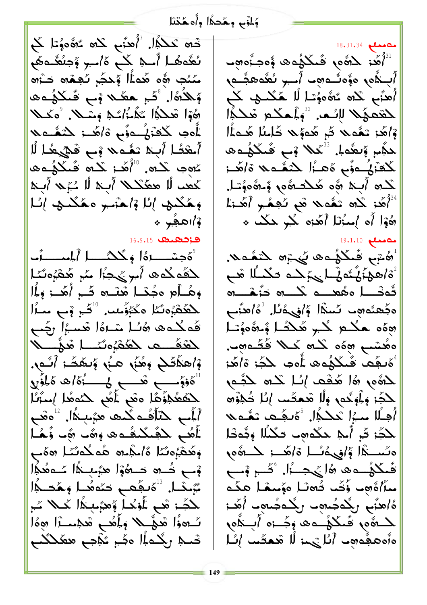وَلِمْوْمٍ وِهَدِدًا وِأُوهَدَنَا

خُوهِ تَعْلَيْكُمْلِ أَيُعِنَّمِ كُلُّوهِ مُؤُوءُ مَعْ الْمَحْمَ ىُعْدِهُـا أَــــم كُـــم وَّاـــبِ وَجِبُعُــدهُم مَنُبُ وَهُو هُومُاْ وَجَدَمٍ نَهِمُو حَـٰٓوَو وَجَمَدُهُ الْمُشْرِ حَصَّلًا وَبِ كَمَكُنُ مِنَّ هُوْا مْلِكُما حُكْمُهُ كَمَاءُ وَسْلًا. ۚ هَكُلُّا لْمُعبَّد مَكْفَنْهُمْ عَامًا مِنْ مَسْتَقْسَمَهِ أَحْدَدُا أَبِي مَعْدِيهِ وَمِنْ شَرْكَتِي الْمُسْتَدَمَّةِ لَهَا الْمُسْتَدَمَّةِ لَهَا لَهَا لَهَا گەب كىدە. "اُهُد كىدە قَىكْلُى مى كَعْمَد لَا مِعْكَمًا أَبْدَ لَا سُبْهِ أَبَد وهَكُدل إِبْلَ وْالْعَنْسِرِ مَعَكْدَلِي إِسْلَ وٛٳ٥٥٩ ؞ 16.9.15 **Calcula** 

أَهْجِسْتَ إِذَا وَكُلْكُتُ أَلْمُعَتَّسَدَ أَنْ لمَفَعدُه ه أُسِرِ بِهِ مُوَاسِمٍ مَعْهُ وَسَمِّلِ وِهُـأَمْ وَجُعْـا قَبْـهِ ضَـٰزِ أَهَـٰزَ وِلَمَا لْكَلّْكُبُوسًا وَكَبُؤُسَى لَأَكْبِ قُومٍ مِدَّا ْفُوْكُوهِ وْمُلْا سْدْهْ قْسْبُرْا رَجّْب لمَعْفَ مِ لِمَعْهُوسُا مُؤْكَّلا وْاْهِكُلْكُمْ وْهُنَّى هَنَّى وَّتَهُكُمْ أَنَّفَى. تَأْذِوْبِ سَبِيحٍ صَبَّدَتَ مَا مَا وَجَادَ مِنْ مَا وَجَادَ مِنْ للْعُعُدْفَهُ مَا مَعْ لِمَعْهِ لِمَعْمَدِ الْمَنْزَلَمُ أَبَلَٰى حَنَاكُ عَكْمِ عَبَىبِ ذَالَ الْمَصْحِرِ لْمُنَّعِ لِلصَّلَّدِيقُوهِ وَهُمَّا هُمَّا فُعُلًّا وِهَٰفَيۡوَمَـُٰٓا ٱلۡاَمِّدِ هُمَكُمۡتَنَا ۞مَبِ وْبٍ خُــهِ حَــهُوْا هِبُنِــٰهُا عَــمهُمْا يَّبِيْط تَكْتَبِهُمْ حَمَّوَهُمْ وَجَمَّدَجُّا لْكُمْ: هُمْ لُمُوْكُمْ وُهِبُمْيَـٰٰهُۚا كَـٰلًا كَـٰبِر نُـهوَٰا هَـٰهَـٰلا وِلَمَٰـٰـ هَـٰهِــالَ هِ١٥ ضَّهِ رِكْماً ا هَجْهِ مُلَاجِم مَعَلاَتُكُمْ ۖ

18.31.34 200  $\sim$ أَهَٰذِ لِهَ أَمْهِ وَسَلَاهُم مِنْ وَاحِنُوهِ أَبِنَدُّهِ هَؤُه نُسْمِي أَسِيرِ نُعْتُمْعَشُمْ ۖ مِ أُهنَّهِ لِكُمْ مُؤْهَدًا لَا هُكُمُ لَكُمْ لَمْ لِحْقُمِهُمْ لِإِنِّمٍ. ''وِلْمَكُم مْكِبًا وْاهُد تَعُدِيه كَرِ هُدَوِّيه خَامِلًا هُـدَلًا حكْمِ وَمِعْما. تَكْلا وْبِ قَىكْلُوه لْحْقَرْبُ ءَوَّى هُحَدُّا لِحَقَّدِيهِ هَ/هُــز لَكِنْ أَبَيْهِ هَوْهِ هَكْدُوهُ لِمَ وَحَدَّهُ وَجُدًا. أَهُدْ لَاه تَعْدَلا مْعِ نَهِعُبِرِ أَهْدَنَا هُوَّا أَه إِسْرَتَا أَهَٰذِه كُبِرِ حَكَّبٌ \*  $19.1.10$ أَهُشِمَ هَكُلُوهِ مَيْكِرُهُ مُحَمَّدَ. صِمَ الْكُمْهِ مِكْبُرِ لِلْهُمْفُوْنُهُمْ هَادَةٍ ثُوضًا وهُعب مثل هندُ ه ەجّىئەھ، ئىندا ۋاڧەئل قاھتّى هِهُهِ هَكُمْ كُبِرٍ هَٰلِكُمْ وَ۫ٓءُهُوءُۭٱۖ ەھُسْب «ەَه لَدە كَملا قَصَّە». ُهُربُكُمْ شَكْلُهُمْ عَالَمُهِ عَلَيْهِ وَاهْدَ لِهُم هُا هُفْعَهِ إِسَّا كُلُّهَ لِأَعْمِ لِكُمْ; وَلَمُوكُم وَلَا شَعَفُتَ إِنَّا خُلِمْوَهُ أَهِلًا سِبُرا تَحِكْمُا. ۚ هُبِصَّمَ تَعْـَمِيهِ لكَجْز ثَمِ أَسْمِ حَكْدُومِ حَكْتُلًا وَجُوشَا وەڤىك نىڭ اڭ لىناشىغانق المىسنام َقَىكُلُّے، 16 يُجِبُّا. ۚ ثَبَّ قِبَ مِدَاهُ وَمِن وَّخَبَ دُوسَاً وَمُحِمَّاً هَذَه ەُ/ھزّىم رېگەجُىھە رېگەجُىھە /ْھُـ; لِهِ أَمَمِ وَحَكْمُ وَهُوا الْمَجْمَعِ مِنْ أَسِيلُهُمْ مَأَهُ مَكْمَةً لَا يَحِيُّ أَمْلَ هُجَاءَ مِنْ اللَّهَ مِنْهُمْ مِنْهُمْ مِنْهُمْ مَنْهُمْ مِنْ